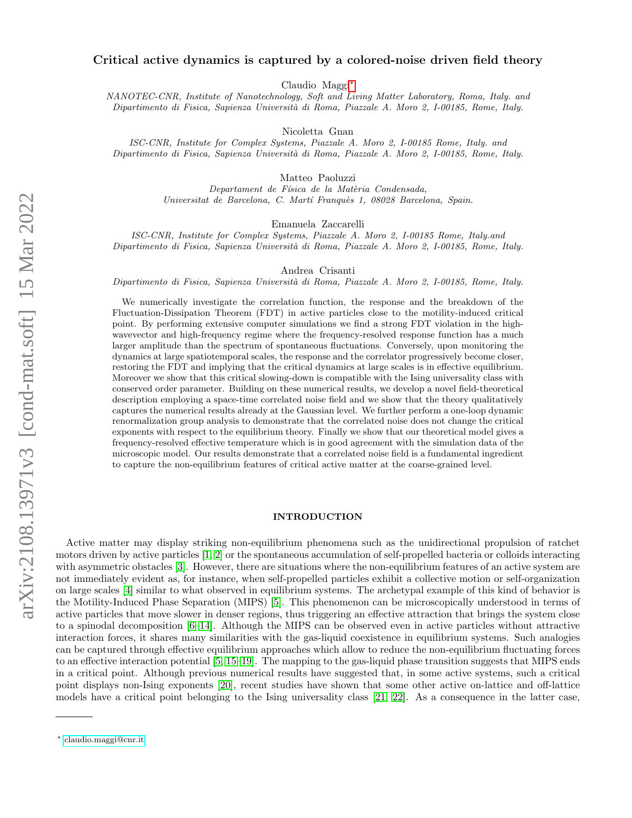# Critical active dynamics is captured by a colored-noise driven field theory

Claudio Maggi[∗](#page-0-0)

NANOTEC-CNR, Institute of Nanotechnology, Soft and Living Matter Laboratory, Roma, Italy. and Dipartimento di Fisica, Sapienza Università di Roma, Piazzale A. Moro 2, I-00185, Rome, Italy.

Nicoletta Gnan

ISC-CNR, Institute for Complex Systems, Piazzale A. Moro 2, I-00185 Rome, Italy. and Dipartimento di Fisica, Sapienza Università di Roma, Piazzale A. Moro 2, I-00185, Rome, Italy.

Matteo Paoluzzi

Departament de Física de la Matèria Condensada, Universitat de Barcelona, C. Martí Franquès 1, 08028 Barcelona, Spain.

Emanuela Zaccarelli

ISC-CNR, Institute for Complex Systems, Piazzale A. Moro 2, I-00185 Rome, Italy.and Dipartimento di Fisica, Sapienza Università di Roma, Piazzale A. Moro 2, I-00185, Rome, Italy.

Andrea Crisanti

Dipartimento di Fisica, Sapienza Università di Roma, Piazzale A. Moro 2, I-00185, Rome, Italy.

We numerically investigate the correlation function, the response and the breakdown of the Fluctuation-Dissipation Theorem (FDT) in active particles close to the motility-induced critical point. By performing extensive computer simulations we find a strong FDT violation in the highwavevector and high-frequency regime where the frequency-resolved response function has a much larger amplitude than the spectrum of spontaneous fluctuations. Conversely, upon monitoring the dynamics at large spatiotemporal scales, the response and the correlator progressively become closer, restoring the FDT and implying that the critical dynamics at large scales is in effective equilibrium. Moreover we show that this critical slowing-down is compatible with the Ising universality class with conserved order parameter. Building on these numerical results, we develop a novel field-theoretical description employing a space-time correlated noise field and we show that the theory qualitatively captures the numerical results already at the Gaussian level. We further perform a one-loop dynamic renormalization group analysis to demonstrate that the correlated noise does not change the critical exponents with respect to the equilibrium theory. Finally we show that our theoretical model gives a frequency-resolved effective temperature which is in good agreement with the simulation data of the microscopic model. Our results demonstrate that a correlated noise field is a fundamental ingredient to capture the non-equilibrium features of critical active matter at the coarse-grained level.

# INTRODUCTION

Active matter may display striking non-equilibrium phenomena such as the unidirectional propulsion of ratchet motors driven by active particles [\[1,](#page-9-0) [2\]](#page-9-1) or the spontaneous accumulation of self-propelled bacteria or colloids interacting with asymmetric obstacles [\[3\]](#page-9-2). However, there are situations where the non-equilibrium features of an active system are not immediately evident as, for instance, when self-propelled particles exhibit a collective motion or self-organization on large scales [\[4\]](#page-9-3) similar to what observed in equilibrium systems. The archetypal example of this kind of behavior is the Motility-Induced Phase Separation (MIPS) [\[5\]](#page-9-4). This phenomenon can be microscopically understood in terms of active particles that move slower in denser regions, thus triggering an effective attraction that brings the system close to a spinodal decomposition [\[6–](#page-9-5)[14\]](#page-10-0). Although the MIPS can be observed even in active particles without attractive interaction forces, it shares many similarities with the gas-liquid coexistence in equilibrium systems. Such analogies can be captured through effective equilibrium approaches which allow to reduce the non-equilibrium fluctuating forces to an effective interaction potential [\[5,](#page-9-4) [15–](#page-10-1)[19\]](#page-10-2). The mapping to the gas-liquid phase transition suggests that MIPS ends in a critical point. Although previous numerical results have suggested that, in some active systems, such a critical point displays non-Ising exponents [\[20\]](#page-10-3), recent studies have shown that some other active on-lattice and off-lattice models have a critical point belonging to the Ising universality class [\[21,](#page-10-4) [22\]](#page-10-5). As a consequence in the latter case,

<span id="page-0-0"></span><sup>∗</sup> [claudio.maggi@cnr.it](mailto:claudio.maggi@cnr.it)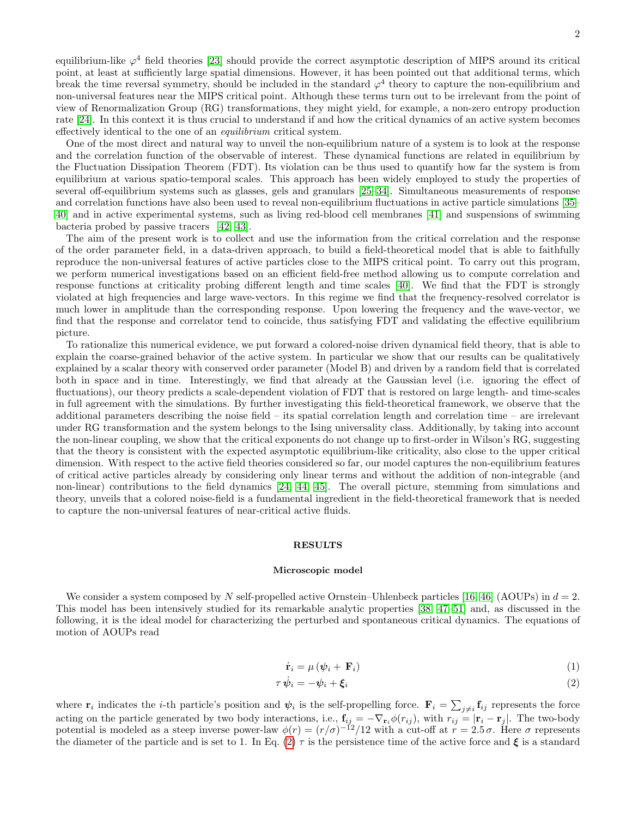equilibrium-like  $\varphi^4$  field theories [\[23\]](#page-10-6) should provide the correct asymptotic description of MIPS around its critical point, at least at sufficiently large spatial dimensions. However, it has been pointed out that additional terms, which break the time reversal symmetry, should be included in the standard  $\varphi^4$  theory to capture the non-equilibrium and non-universal features near the MIPS critical point. Although these terms turn out to be irrelevant from the point of view of Renormalization Group (RG) transformations, they might yield, for example, a non-zero entropy production rate [\[24\]](#page-10-7). In this context it is thus crucial to understand if and how the critical dynamics of an active system becomes effectively identical to the one of an equilibrium critical system.

One of the most direct and natural way to unveil the non-equilibrium nature of a system is to look at the response and the correlation function of the observable of interest. These dynamical functions are related in equilibrium by the Fluctuation Dissipation Theorem (FDT). Its violation can be thus used to quantify how far the system is from equilibrium at various spatio-temporal scales. This approach has been widely employed to study the properties of several off-equilibrium systems such as glasses, gels and granulars [\[25–](#page-10-8)[34\]](#page-10-9). Simultaneous measurements of response and correlation functions have also been used to reveal non-equilibrium fluctuations in active particle simulations [\[35–](#page-10-10) [40\]](#page-10-11) and in active experimental systems, such as living red-blood cell membranes [\[41\]](#page-10-12) and suspensions of swimming bacteria probed by passive tracers [\[42,](#page-10-13) [43\]](#page-10-14).

The aim of the present work is to collect and use the information from the critical correlation and the response of the order parameter field, in a data-driven approach, to build a field-theoretical model that is able to faithfully reproduce the non-universal features of active particles close to the MIPS critical point. To carry out this program, we perform numerical investigations based on an efficient field-free method allowing us to compute correlation and response functions at criticality probing different length and time scales [\[40\]](#page-10-11). We find that the FDT is strongly violated at high frequencies and large wave-vectors. In this regime we find that the frequency-resolved correlator is much lower in amplitude than the corresponding response. Upon lowering the frequency and the wave-vector, we find that the response and correlator tend to coincide, thus satisfying FDT and validating the effective equilibrium picture.

To rationalize this numerical evidence, we put forward a colored-noise driven dynamical field theory, that is able to explain the coarse-grained behavior of the active system. In particular we show that our results can be qualitatively explained by a scalar theory with conserved order parameter (Model B) and driven by a random field that is correlated both in space and in time. Interestingly, we find that already at the Gaussian level (i.e. ignoring the effect of fluctuations), our theory predicts a scale-dependent violation of FDT that is restored on large length- and time-scales in full agreement with the simulations. By further investigating this field-theoretical framework, we observe that the additional parameters describing the noise field – its spatial correlation length and correlation time – are irrelevant under RG transformation and the system belongs to the Ising universality class. Additionally, by taking into account the non-linear coupling, we show that the critical exponents do not change up to first-order in Wilson's RG, suggesting that the theory is consistent with the expected asymptotic equilibrium-like criticality, also close to the upper critical dimension. With respect to the active field theories considered so far, our model captures the non-equilibrium features of critical active particles already by considering only linear terms and without the addition of non-integrable (and non-linear) contributions to the field dynamics [\[24,](#page-10-7) [44,](#page-10-15) [45\]](#page-10-16). The overall picture, stemming from simulations and theory, unveils that a colored noise-field is a fundamental ingredient in the field-theoretical framework that is needed to capture the non-universal features of near-critical active fluids.

# RESULTS

#### Microscopic model

We consider a system composed by N self-propelled active Ornstein–Uhlenbeck particles [\[16,](#page-10-17) [46\]](#page-10-18) (AOUPs) in  $d = 2$ . This model has been intensively studied for its remarkable analytic properties [\[38,](#page-10-19) [47–](#page-10-20)[51\]](#page-11-0) and, as discussed in the following, it is the ideal model for characterizing the perturbed and spontaneous critical dynamics. The equations of motion of AOUPs read

<span id="page-1-0"></span>
$$
\dot{\mathbf{r}}_i = \mu \left( \psi_i + \mathbf{F}_i \right) \tag{1}
$$

$$
\tau \dot{\psi}_i = -\psi_i + \xi_i \tag{2}
$$

where  $\mathbf{r}_i$  indicates the *i*-th particle's position and  $\psi_i$  is the self-propelling force.  $\mathbf{F}_i = \sum_{j\neq i} \mathbf{f}_{ij}$  represents the force acting on the particle generated by two body interactions, i.e.,  $\mathbf{f}_{ij} = -\nabla_{\mathbf{r}_i} \phi(r_{ij})$ , with  $r_{ij} = |\mathbf{r}_i - \mathbf{r}_j|$ . The two-body potential is modeled as a steep inverse power-law  $\phi(r) = (r/\sigma)^{-12}/12$  with a cut-off at  $r = 2.5 \sigma$ . Here  $\sigma$  represents the diameter of the particle and is set to 1. In Eq. [\(2\)](#page-1-0)  $\tau$  is the persistence time of the active force and  $\xi$  is a standard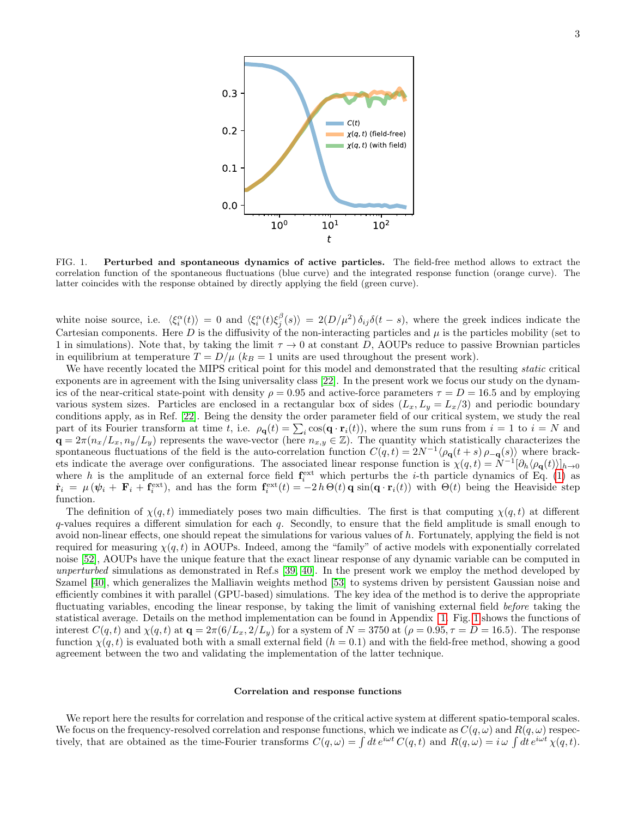

<span id="page-2-0"></span>FIG. 1. Perturbed and spontaneous dynamics of active particles. The field-free method allows to extract the correlation function of the spontaneous fluctuations (blue curve) and the integrated response function (orange curve). The latter coincides with the response obtained by directly applying the field (green curve).

white noise source, i.e.  $\langle \xi_i^{\alpha}(t) \rangle = 0$  and  $\langle \xi_i^{\alpha}(t) \xi_j^{\beta}(s) \rangle = 2(D/\mu^2) \delta_{ij} \delta(t-s)$ , where the greek indices indicate the Cartesian components. Here  $D$  is the diffusivity of the non-interacting particles and  $\mu$  is the particles mobility (set to 1 in simulations). Note that, by taking the limit  $\tau \to 0$  at constant D, AOUPs reduce to passive Brownian particles in equilibrium at temperature  $T = D/\mu$  ( $k_B = 1$  units are used throughout the present work).

We have recently located the MIPS critical point for this model and demonstrated that the resulting *static* critical exponents are in agreement with the Ising universality class [\[22\]](#page-10-5). In the present work we focus our study on the dynamics of the near-critical state-point with density  $\rho = 0.95$  and active-force parameters  $\tau = D = 16.5$  and by employing various system sizes. Particles are enclosed in a rectangular box of sides  $(L_x, L_y = L_x/3)$  and periodic boundary conditions apply, as in Ref. [\[22\]](#page-10-5). Being the density the order parameter field of our critical system, we study the real part of its Fourier transform at time t, i.e.  $\rho_{\mathbf{q}}(t) = \sum_i \cos(\mathbf{q} \cdot \mathbf{r}_i(t))$ , where the sum runs from  $i = 1$  to  $i = N$  and  $\mathbf{q} = 2\pi (n_x/L_x, n_y/L_y)$  represents the wave-vector (here  $n_{x,y} \in \mathbb{Z}$ ). The quantity which statistically characterizes the spontaneous fluctuations of the field is the auto-correlation function  $C(q,t) = 2N^{-1} \langle \rho_{\bf q}(t+s) \rho_{\bf -q}(s) \rangle$  where brackets indicate the average over configurations. The associated linear response function is  $\chi(q,t) = N^{-1} [\partial_h \langle \rho_q(t) \rangle]_{h\to 0}$ where h is the amplitude of an external force field  $f_i^{\text{ext}}$  which perturbs the *i*-th particle dynamics of Eq. [\(1\)](#page-1-0) as  $\dot{\mathbf{r}}_i = \mu (\psi_i + \mathbf{F}_i + \mathbf{f}_i^{\text{ext}})$ , and has the form  $\mathbf{f}_i^{\text{ext}}(t) = -2h \Theta(t) \mathbf{q} \sin(\mathbf{q} \cdot \mathbf{r}_i(t))$  with  $\Theta(t)$  being the Heaviside step function.

The definition of  $\chi(q, t)$  immediately poses two main difficulties. The first is that computing  $\chi(q, t)$  at different  $q$ -values requires a different simulation for each  $q$ . Secondly, to ensure that the field amplitude is small enough to avoid non-linear effects, one should repeat the simulations for various values of h. Fortunately, applying the field is not required for measuring  $\chi(q, t)$  in AOUPs. Indeed, among the "family" of active models with exponentially correlated noise [\[52\]](#page-11-1), AOUPs have the unique feature that the exact linear response of any dynamic variable can be computed in unperturbed simulations as demonstrated in Ref.s [\[39,](#page-10-21) [40\]](#page-10-11). In the present work we employ the method developed by Szamel [\[40\]](#page-10-11), which generalizes the Malliavin weights method [\[53\]](#page-11-2) to systems driven by persistent Gaussian noise and efficiently combines it with parallel (GPU-based) simulations. The key idea of the method is to derive the appropriate fluctuating variables, encoding the linear response, by taking the limit of vanishing external field before taking the statistical average. Details on the method implementation can be found in Appendix [1.](#page-12-0) Fig. [1](#page-2-0) shows the functions of interest  $C(q,t)$  and  $\chi(q,t)$  at  $\mathbf{q} = 2\pi(6/L_x, 2/L_y)$  for a system of  $N = 3750$  at  $(\rho = 0.95, \tau = D = 16.5)$ . The response function  $\chi(q, t)$  is evaluated both with a small external field  $(h = 0.1)$  and with the field-free method, showing a good agreement between the two and validating the implementation of the latter technique.

#### Correlation and response functions

We report here the results for correlation and response of the critical active system at different spatio-temporal scales. We focus on the frequency-resolved correlation and response functions, which we indicate as  $C(q,\omega)$  and  $R(q,\omega)$  respectively, that are obtained as the time-Fourier transforms  $C(q,\omega) = \int dt e^{i\omega t} C(q,t)$  and  $R(q,\omega) = i\omega \int dt e^{i\omega t} \chi(q,t)$ .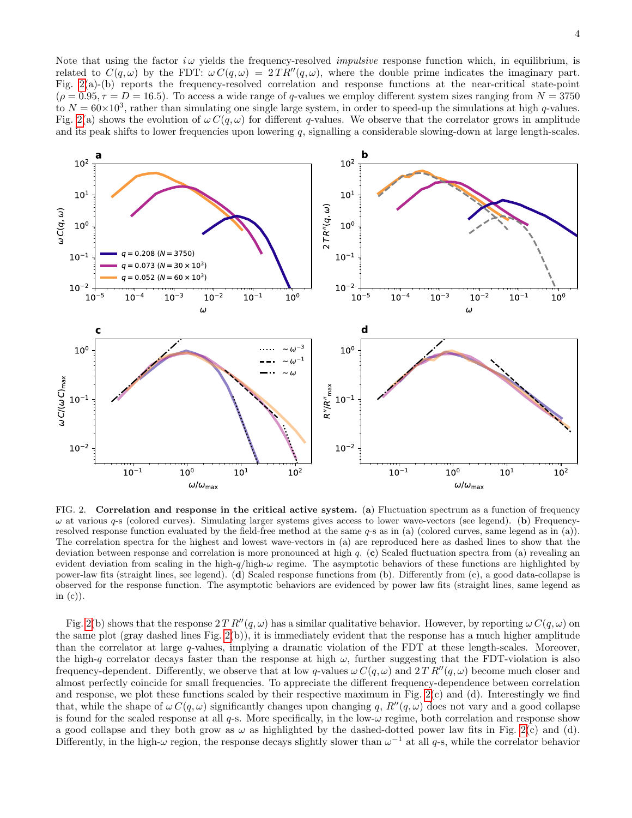Note that using the factor  $i\omega$  yields the frequency-resolved *impulsive* response function which, in equilibrium, is related to  $C(q,\omega)$  by the FDT:  $\omega C(q,\omega) = 2TR''(q,\omega)$ , where the double prime indicates the imaginary part. Fig. [2\(](#page-3-0)a)-(b) reports the frequency-resolved correlation and response functions at the near-critical state-point  $(\rho = 0.95, \tau = D = 16.5)$ . To access a wide range of q-values we employ different system sizes ranging from  $N = 3750$ to  $N = 60 \times 10^3$ , rather than simulating one single large system, in order to speed-up the simulations at high q-values. Fig. [2\(](#page-3-0)a) shows the evolution of  $\omega C(q,\omega)$  for different q-values. We observe that the correlator grows in amplitude and its peak shifts to lower frequencies upon lowering q, signalling a considerable slowing-down at large length-scales.



<span id="page-3-0"></span>FIG. 2. Correlation and response in the critical active system. (a) Fluctuation spectrum as a function of frequency  $\omega$  at various q-s (colored curves). Simulating larger systems gives access to lower wave-vectors (see legend). (b) Frequencyresolved response function evaluated by the field-free method at the same  $q$ -s as in (a) (colored curves, same legend as in (a)). The correlation spectra for the highest and lowest wave-vectors in (a) are reproduced here as dashed lines to show that the deviation between response and correlation is more pronounced at high  $q$ . (c) Scaled fluctuation spectra from (a) revealing an evident deviation from scaling in the high-q/high- $\omega$  regime. The asymptotic behaviors of these functions are highlighted by power-law fits (straight lines, see legend). (d) Scaled response functions from (b). Differently from (c), a good data-collapse is observed for the response function. The asymptotic behaviors are evidenced by power law fits (straight lines, same legend as in  $(c)$ ).

Fig. [2\(](#page-3-0)b) shows that the response  $2 T R''(q,\omega)$  has a similar qualitative behavior. However, by reporting  $\omega C(q,\omega)$  on the same plot (gray dashed lines Fig. [2\(](#page-3-0)b)), it is immediately evident that the response has a much higher amplitude than the correlator at large q-values, implying a dramatic violation of the FDT at these length-scales. Moreover, the high-q correlator decays faster than the response at high  $\omega$ , further suggesting that the FDT-violation is also frequency-dependent. Differently, we observe that at low q-values  $\omega C(q,\omega)$  and  $2 T R''(q,\omega)$  become much closer and almost perfectly coincide for small frequencies. To appreciate the different frequency-dependence between correlation and response, we plot these functions scaled by their respective maximum in Fig.  $2(c)$  and (d). Interestingly we find that, while the shape of  $\omega C(q,\omega)$  significantly changes upon changing q,  $R''(q,\omega)$  does not vary and a good collapse is found for the scaled response at all  $q$ -s. More specifically, in the low- $\omega$  regime, both correlation and response show a good collapse and they both grow as  $\omega$  as highlighted by the dashed-dotted power law fits in Fig. [2\(](#page-3-0)c) and (d). Differently, in the high- $\omega$  region, the response decays slightly slower than  $\omega^{-1}$  at all q-s, while the correlator behavior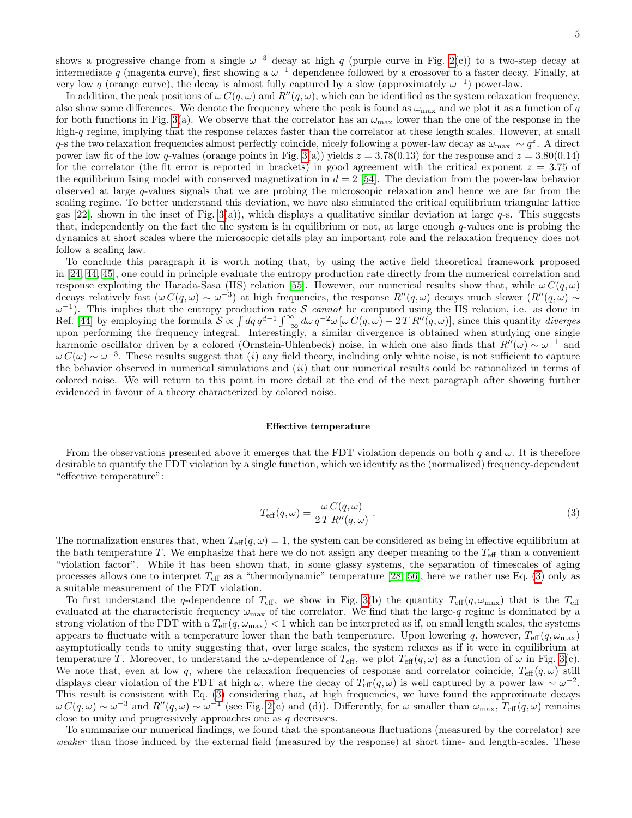shows a progressive change from a single  $\omega^{-3}$  decay at high q (purple curve in Fig. [2\(](#page-3-0)c)) to a two-step decay at intermediate q (magenta curve), first showing a  $\omega^{-1}$  dependence followed by a crossover to a faster decay. Finally, at very low q (orange curve), the decay is almost fully captured by a slow (approximately  $\omega^{-1}$ ) power-law.

In addition, the peak positions of  $\omega C(q,\omega)$  and  $R''(q,\omega)$ , which can be identified as the system relaxation frequency, also show some differences. We denote the frequency where the peak is found as  $\omega_{\text{max}}$  and we plot it as a function of q for both functions in Fig. [3\(](#page-5-0)a). We observe that the correlator has an  $\omega_{\text{max}}$  lower than the one of the response in the high-q regime, implying that the response relaxes faster than the correlator at these length scales. However, at small q-s the two relaxation frequencies almost perfectly coincide, nicely following a power-law decay as  $\omega_{\text{max}} \sim q^z$ . A direct power law fit of the low q-values (orange points in Fig. [3\(](#page-5-0)a)) yields  $z = 3.78(0.13)$  for the response and  $z = 3.80(0.14)$ for the correlator (the fit error is reported in brackets) in good agreement with the critical exponent  $z = 3.75$  of the equilibrium Ising model with conserved magnetization in  $d = 2$  [\[54\]](#page-11-3). The deviation from the power-law behavior observed at large q-values signals that we are probing the microscopic relaxation and hence we are far from the scaling regime. To better understand this deviation, we have also simulated the critical equilibrium triangular lattice gas [\[22\]](#page-10-5), shown in the inset of Fig. [3\(](#page-5-0)a)), which displays a qualitative similar deviation at large  $q$ -s. This suggests that, independently on the fact the the system is in equilibrium or not, at large enough q-values one is probing the dynamics at short scales where the microsocpic details play an important role and the relaxation frequency does not follow a scaling law.

To conclude this paragraph it is worth noting that, by using the active field theoretical framework proposed in [\[24,](#page-10-7) [44,](#page-10-15) [45\]](#page-10-16), one could in principle evaluate the entropy production rate directly from the numerical correlation and response exploiting the Harada-Sasa (HS) relation [\[55\]](#page-11-4). However, our numerical results show that, while  $\omega C(q,\omega)$ decays relatively fast  $(\omega C(q, \omega) \sim \omega^{-3})$  at high frequencies, the response  $R''(q, \omega)$  decays much slower  $(R''(q, \omega) \sim \omega^{-3})$  $\omega^{-1}$ ). This implies that the entropy production rate S cannot be computed using the HS relation, i.e. as done in Ref. [\[44\]](#page-10-15) by employing the formula  $S \propto \int dq \, q^{d-1} \int_{-\infty}^{\infty} d\omega \, q^{-2} \omega \left[ \omega C(q, \omega) - 2 T R''(q, \omega) \right]$ , since this quantity diverges upon performing the frequency integral. Interestingly, a similar divergence is obtained when studying one single harmonic oscillator driven by a colored (Ornstein-Uhlenbeck) noise, in which one also finds that  $R''(\omega) \sim \omega^{-1}$  and  $\omega C(\omega) \sim \omega^{-3}$ . These results suggest that (i) any field theory, including only white noise, is not sufficient to capture the behavior observed in numerical simulations and  $(ii)$  that our numerical results could be rationalized in terms of colored noise. We will return to this point in more detail at the end of the next paragraph after showing further evidenced in favour of a theory characterized by colored noise.

# Effective temperature

From the observations presented above it emerges that the FDT violation depends on both q and  $\omega$ . It is therefore desirable to quantify the FDT violation by a single function, which we identify as the (normalized) frequency-dependent "effective temperature":

<span id="page-4-0"></span>
$$
T_{\text{eff}}(q,\omega) = \frac{\omega \, C(q,\omega)}{2 \, T \, R''(q,\omega)} \,. \tag{3}
$$

The normalization ensures that, when  $T_{\text{eff}}(q,\omega) = 1$ , the system can be considered as being in effective equilibrium at the bath temperature T. We emphasize that here we do not assign any deeper meaning to the  $T_{\text{eff}}$  than a convenient "violation factor". While it has been shown that, in some glassy systems, the separation of timescales of aging processes allows one to interpret  $T_{\text{eff}}$  as a "thermodynamic" temperature [\[28,](#page-10-22) [56\]](#page-11-5), here we rather use Eq. [\(3\)](#page-4-0) only as a suitable measurement of the FDT violation.

To first understand the q-dependence of  $T_{\text{eff}}$ , we show in Fig. [3\(](#page-5-0)b) the quantity  $T_{\text{eff}}(q,\omega_{\text{max}})$  that is the  $T_{\text{eff}}$ evaluated at the characteristic frequency  $\omega_{\text{max}}$  of the correlator. We find that the large-q regime is dominated by a strong violation of the FDT with a  $T_{\text{eff}}(q, \omega_{\text{max}}) < 1$  which can be interpreted as if, on small length scales, the systems appears to fluctuate with a temperature lower than the bath temperature. Upon lowering q, however,  $T_{\text{eff}}(q,\omega_{\text{max}})$ asymptotically tends to unity suggesting that, over large scales, the system relaxes as if it were in equilibrium at temperature T. Moreover, to understand the  $\omega$ -dependence of  $T_{\text{eff}}$ , we plot  $T_{\text{eff}}(q,\omega)$  as a function of  $\omega$  in Fig. [3\(](#page-5-0)c). We note that, even at low q, where the relaxation frequencies of response and correlator coincide,  $T_{\text{eff}}(q,\omega)$  still displays clear violation of the FDT at high  $\omega$ , where the decay of  $T_{\text{eff}}(q,\omega)$  is well captured by a power law ~  $\omega^{-2}$ . This result is consistent with Eq. [\(3\)](#page-4-0) considering that, at high frequencies, we have found the approximate decays  $\omega C(q,\omega) \sim \omega^{-3}$  and  $R''(q,\omega) \sim \omega^{-1}$  (see Fig. [2\(](#page-3-0)c) and (d)). Differently, for  $\omega$  smaller than  $\omega_{\text{max}}$ ,  $T_{\text{eff}}(q,\omega)$  remains close to unity and progressively approaches one as q decreases.

To summarize our numerical findings, we found that the spontaneous fluctuations (measured by the correlator) are weaker than those induced by the external field (measured by the response) at short time- and length-scales. These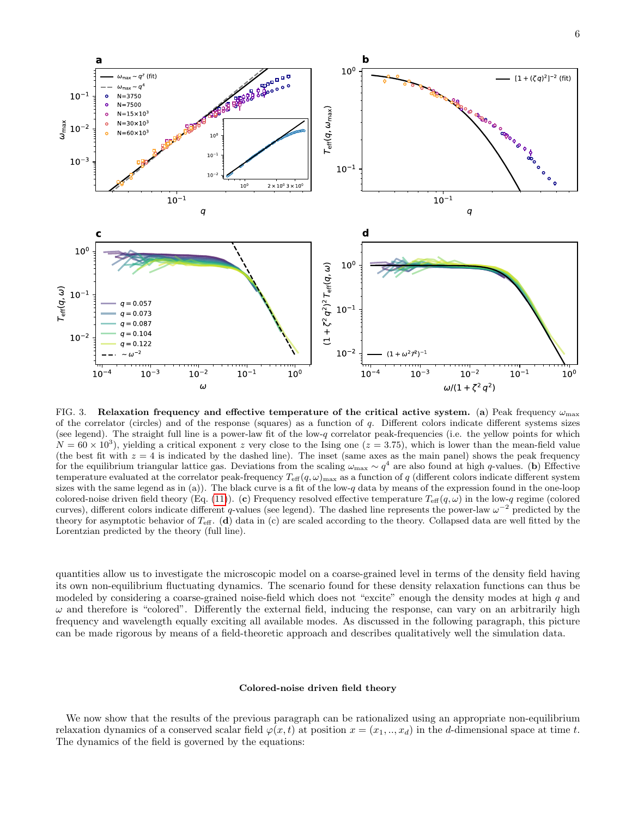

6



<span id="page-5-0"></span>FIG. 3. Relaxation frequency and effective temperature of the critical active system. (a) Peak frequency  $\omega_{\text{max}}$ of the correlator (circles) and of the response (squares) as a function of  $q$ . Different colors indicate different systems sizes (see legend). The straight full line is a power-law fit of the low-q correlator peak-frequencies (i.e. the yellow points for which  $N = 60 \times 10^3$ , yielding a critical exponent z very close to the Ising one ( $z = 3.75$ ), which is lower than the mean-field value (the best fit with  $z = 4$  is indicated by the dashed line). The inset (same axes as the main panel) shows the peak frequency for the equilibrium triangular lattice gas. Deviations from the scaling  $\omega_{\text{max}} \sim q^4$  are also found at high q-values. (b) Effective temperature evaluated at the correlator peak-frequency  $T_{\text{eff}}(q,\omega)_{\text{max}}$  as a function of q (different colors indicate different system sizes with the same legend as in (a)). The black curve is a fit of the low- $q$  data by means of the expression found in the one-loop colored-noise driven field theory (Eq. [\(11\)](#page-7-0)). (c) Frequency resolved effective temperature  $T_{\text{eff}}(q,\omega)$  in the low-q regime (colored curves), different colors indicate different q-values (see legend). The dashed line represents the power-law  $\omega^{-2}$  predicted by the theory for asymptotic behavior of  $T_{\text{eff}}$ . (d) data in (c) are scaled according to the theory. Collapsed data are well fitted by the Lorentzian predicted by the theory (full line).

quantities allow us to investigate the microscopic model on a coarse-grained level in terms of the density field having its own non-equilibrium fluctuating dynamics. The scenario found for these density relaxation functions can thus be modeled by considering a coarse-grained noise-field which does not "excite" enough the density modes at high q and  $\omega$  and therefore is "colored". Differently the external field, inducing the response, can vary on an arbitrarily high frequency and wavelength equally exciting all available modes. As discussed in the following paragraph, this picture can be made rigorous by means of a field-theoretic approach and describes qualitatively well the simulation data.

#### Colored-noise driven field theory

We now show that the results of the previous paragraph can be rationalized using an appropriate non-equilibrium relaxation dynamics of a conserved scalar field  $\varphi(x, t)$  at position  $x = (x_1, ..., x_d)$  in the d-dimensional space at time t. The dynamics of the field is governed by the equations: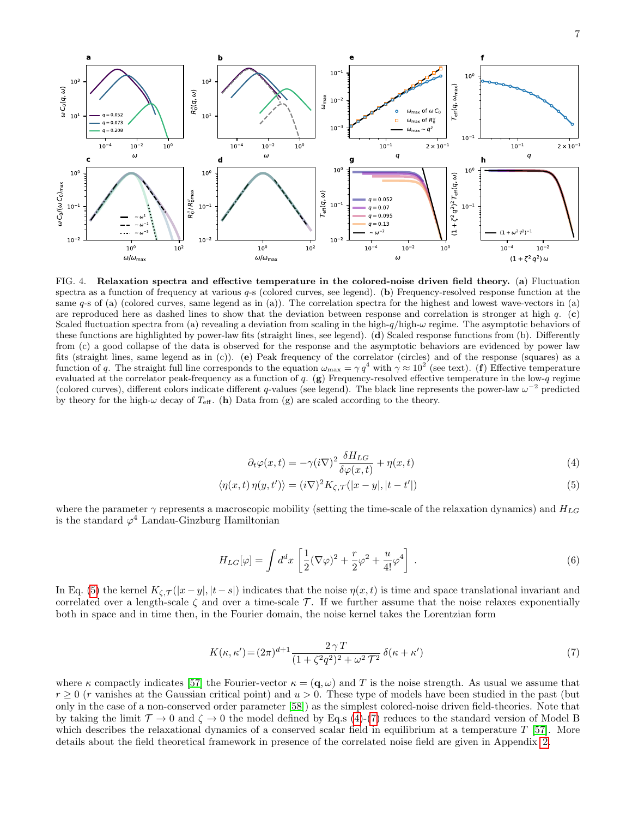

<span id="page-6-3"></span>FIG. 4. Relaxation spectra and effective temperature in the colored-noise driven field theory. (a) Fluctuation spectra as a function of frequency at various q-s (colored curves, see legend). (b) Frequency-resolved response function at the same  $q$ -s of (a) (colored curves, same legend as in (a)). The correlation spectra for the highest and lowest wave-vectors in (a) are reproduced here as dashed lines to show that the deviation between response and correlation is stronger at high  $q$ . (c) Scaled fluctuation spectra from (a) revealing a deviation from scaling in the high-q/high- $\omega$  regime. The asymptotic behaviors of these functions are highlighted by power-law fits (straight lines, see legend). (d) Scaled response functions from (b). Differently from (c) a good collapse of the data is observed for the response and the asymptotic behaviors are evidenced by power law fits (straight lines, same legend as in (c)). (e) Peak frequency of the correlator (circles) and of the response (squares) as a function of q. The straight full line corresponds to the equation  $\omega_{\text{max}} = \gamma q^4$  with  $\gamma \approx 10^{27}$  (see text). (f) Effective temperature evaluated at the correlator peak-frequency as a function of  $q$ . (g) Frequency-resolved effective temperature in the low-q regime (colored curves), different colors indicate different q-values (see legend). The black line represents the power-law  $\omega^{-2}$  predicted by theory for the high- $\omega$  decay of  $T_{\text{eff}}$ . (h) Data from (g) are scaled according to the theory.

<span id="page-6-1"></span><span id="page-6-0"></span>
$$
\partial_t \varphi(x,t) = -\gamma(i\nabla)^2 \frac{\delta H_{LG}}{\delta \varphi(x,t)} + \eta(x,t)
$$
\n(4)

$$
\langle \eta(x,t)\,\eta(y,t')\rangle = (i\nabla)^2 K_{\zeta,\mathcal{T}}(|x-y|,|t-t'|)
$$
\n(5)

where the parameter  $\gamma$  represents a macroscopic mobility (setting the time-scale of the relaxation dynamics) and  $H_{LG}$ is the standard  $\varphi^4$  Landau-Ginzburg Hamiltonian

$$
H_{LG}[\varphi] = \int d^d x \left[ \frac{1}{2} (\nabla \varphi)^2 + \frac{r}{2} \varphi^2 + \frac{u}{4!} \varphi^4 \right] . \tag{6}
$$

In Eq. [\(5\)](#page-6-0) the kernel  $K_{\zeta,\mathcal{T}}(|x-y|, |t-s|)$  indicates that the noise  $\eta(x,t)$  is time and space translational invariant and correlated over a length-scale  $\zeta$  and over a time-scale  $\mathcal{T}$ . If we further assume that the noise relaxes exponentially both in space and in time then, in the Fourier domain, the noise kernel takes the Lorentzian form

<span id="page-6-2"></span>
$$
K(\kappa, \kappa') = (2\pi)^{d+1} \frac{2\gamma T}{(1 + \zeta^2 q^2)^2 + \omega^2 T^2} \delta(\kappa + \kappa')
$$
\n(7)

where  $\kappa$  compactly indicates [\[57\]](#page-11-6) the Fourier-vector  $\kappa = (\mathbf{q}, \omega)$  and T is the noise strength. As usual we assume that  $r > 0$  (r vanishes at the Gaussian critical point) and  $u > 0$ . These type of models have been studied in the past (but only in the case of a non-conserved order parameter [\[58\]](#page-11-7)) as the simplest colored-noise driven field-theories. Note that by taking the limit  $\mathcal{T} \to 0$  and  $\zeta \to 0$  the model defined by Eq.s [\(4\)](#page-6-1)-[\(7\)](#page-6-2) reduces to the standard version of Model B which describes the relaxational dynamics of a conserved scalar field in equilibrium at a temperature  $T$  [\[57\]](#page-11-6). More details about the field theoretical framework in presence of the correlated noise field are given in Appendix [2.](#page-12-1)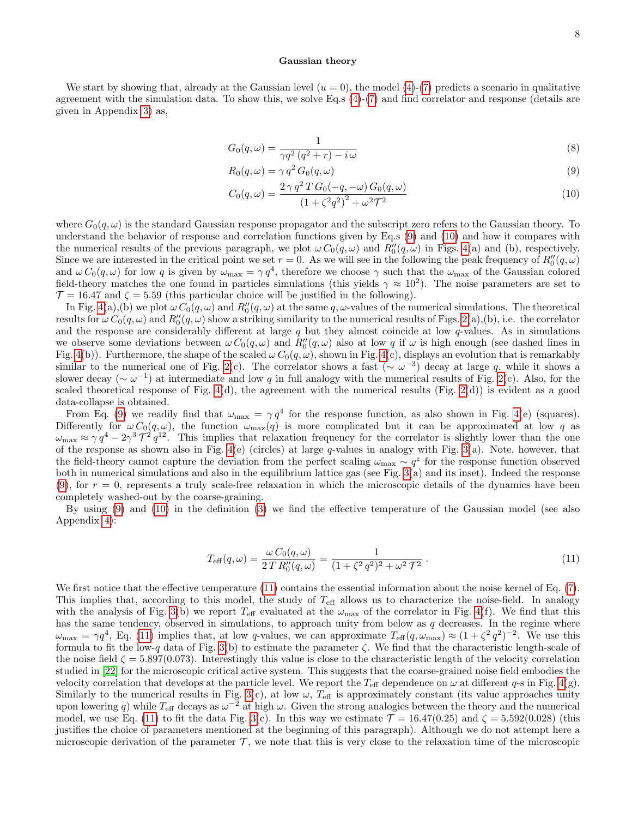# <span id="page-7-2"></span><span id="page-7-1"></span>Gaussian theory

We start by showing that, already at the Gaussian level  $(u = 0)$ , the model  $(4)-(7)$  $(4)-(7)$  predicts a scenario in qualitative agreement with the simulation data. To show this, we solve Eq.s [\(4\)](#page-6-1)-[\(7\)](#page-6-2) and find correlator and response (details are given in Appendix [3\)](#page-13-0) as,

$$
G_0(q,\omega) = \frac{1}{\gamma q^2 (q^2 + r) - i \omega} \tag{8}
$$

$$
R_0(q,\omega) = \gamma q^2 G_0(q,\omega)
$$
\n(9)

$$
C_0(q,\omega) = \frac{2\,\gamma\,q^2\,T\,G_0(-q,-\omega)\,G_0(q,\omega)}{(1+\zeta^2q^2)^2+\omega^2\mathcal{T}^2}
$$
\n<sup>(10)</sup>

where  $G_0(q,\omega)$  is the standard Gaussian response propagator and the subscript zero refers to the Gaussian theory. To understand the behavior of response and correlation functions given by Eq.s [\(9\)](#page-7-1) and [\(10\)](#page-7-2) and how it compares with the numerical results of the previous paragraph, we plot  $\omega C_0(q,\omega)$  and  $R''_0(q,\omega)$  in Figs. [4\(](#page-6-3)a) and (b), respectively. Since we are interested in the critical point we set  $r = 0$ . As we will see in the following the peak frequency of  $R_0''(q,\omega)$ and  $\omega C_0(q,\omega)$  for low q is given by  $\omega_{\text{max}} = \gamma q^4$ , therefore we choose  $\gamma$  such that the  $\omega_{\text{max}}$  of the Gaussian colored field-theory matches the one found in particles simulations (this yields  $\gamma \approx 10^2$ ). The noise parameters are set to  $\mathcal{T} = 16.47$  and  $\zeta = 5.59$  (this particular choice will be justified in the following).

In Fig. [4\(](#page-6-3)a),(b) we plot  $\omega C_0(q,\omega)$  and  $R''_0(q,\omega)$  at the same  $q,\omega$ -values of the numerical simulations. The theoretical results for  $\omega C_0(q,\omega)$  and  $R''_0(q,\omega)$  show a striking similarity to the numerical results of Figs. [2\(](#page-3-0)a),(b), i.e. the correlator and the response are considerably different at large  $q$  but they almost coincide at low  $q$ -values. As in simulations we observe some deviations between  $\omega C_0(q,\omega)$  and  $R_0''(q,\omega)$  also at low q if  $\omega$  is high enough (see dashed lines in Fig. [4\(](#page-6-3)b)). Furthermore, the shape of the scaled  $\omega C_0(q,\omega)$ , shown in Fig. 4(c), displays an evolution that is remarkably similar to the numerical one of Fig. [2\(](#page-3-0)c). The correlator shows a fast  $(\sim \omega^{-3})$  decay at large q, while it shows a slower decay ( $\sim \omega^{-1}$ ) at intermediate and low q in full analogy with the numerical results of Fig. [2\(](#page-3-0)c). Also, for the scaled theoretical response of Fig.  $4(d)$ , the agreement with the numerical results (Fig.  $2(d)$ ) is evident as a good data-collapse is obtained.

From Eq. [\(9\)](#page-7-1) we readily find that  $\omega_{\text{max}} = \gamma q^4$  for the response function, as also shown in Fig. [4\(](#page-6-3)e) (squares). Differently for  $\omega C_0(q,\omega)$ , the function  $\omega_{\text{max}}(q)$  is more complicated but it can be approximated at low q as  $\omega_{\text{max}} \approx \gamma q^4 - 2\gamma^3 \mathcal{T}^2 q^{12}$ . This implies that relaxation frequency for the correlator is slightly lower than the one of the response as shown also in Fig.  $4(e)$  (circles) at large q-values in analogy with Fig.  $3(a)$ . Note, however, that the field-theory cannot capture the deviation from the perfect scaling  $\omega_{\text{max}} \sim q^z$  for the response function observed both in numerical simulations and also in the equilibrium lattice gas (see Fig. [3\(](#page-5-0)a) and its inset). Indeed the response  $(9)$ , for  $r = 0$ , represents a truly scale-free relaxation in which the microscopic details of the dynamics have been completely washed-out by the coarse-graining.

By using [\(9\)](#page-7-1) and [\(10\)](#page-7-2) in the definition [\(3\)](#page-4-0) we find the effective temperature of the Gaussian model (see also Appendix [4\)](#page-14-0):

<span id="page-7-0"></span>
$$
T_{\text{eff}}(q,\omega) = \frac{\omega C_0(q,\omega)}{2 \, T \, R_0''(q,\omega)} = \frac{1}{(1 + \zeta^2 \, q^2)^2 + \omega^2 \, T^2} \,. \tag{11}
$$

We first notice that the effective temperature [\(11\)](#page-7-0) contains the essential information about the noise kernel of Eq. [\(7\)](#page-6-2). This implies that, according to this model, the study of  $T_{\text{eff}}$  allows us to characterize the noise-field. In analogy with the analysis of Fig. [3\(](#page-5-0)b) we report  $T_{\text{eff}}$  evaluated at the  $\omega_{\text{max}}$  of the correlator in Fig. [4\(](#page-6-3)f). We find that this has the same tendency, observed in simulations, to approach unity from below as  $q$  decreases. In the regime where  $\omega_{\text{max}} = \gamma q^4$ , Eq. [\(11\)](#page-7-0) implies that, at low q-values, we can approximate  $T_{\text{eff}}(q, \omega_{\text{max}}) \approx (1 + \zeta^2 q^2)^{-2}$ . We use this formula to fit the low-q data of Fig. [3\(](#page-5-0)b) to estimate the parameter  $\zeta$ . We find that the characteristic length-scale of the noise field  $\zeta = 5.897(0.073)$ . Interestingly this value is close to the characteristic length of the velocity correlation studied in [\[22\]](#page-10-5) for the microscopic critical active system. This suggests that the coarse-grained noise field embodies the velocity correlation that develops at the particle level. We report the  $T_{\text{eff}}$  dependence on  $\omega$  at different q-s in Fig. [4\(](#page-6-3)g). Similarly to the numerical results in Fig. [3\(](#page-5-0)c), at low  $\omega$ ,  $T_{\text{eff}}$  is approximately constant (its value approaches unity upon lowering q) while  $T_{\rm eff}$  decays as  $\omega^{-2}$  at high  $\omega$ . Given the strong analogies between the theory and the numerical model, we use Eq. [\(11\)](#page-7-0) to fit the data Fig. [3\(](#page-5-0)c). In this way we estimate  $\mathcal{T} = 16.47(0.25)$  and  $\zeta = 5.592(0.028)$  (this justifies the choice of parameters mentioned at the beginning of this paragraph). Although we do not attempt here a microscopic derivation of the parameter  $\mathcal{T}$ , we note that this is very close to the relaxation time of the microscopic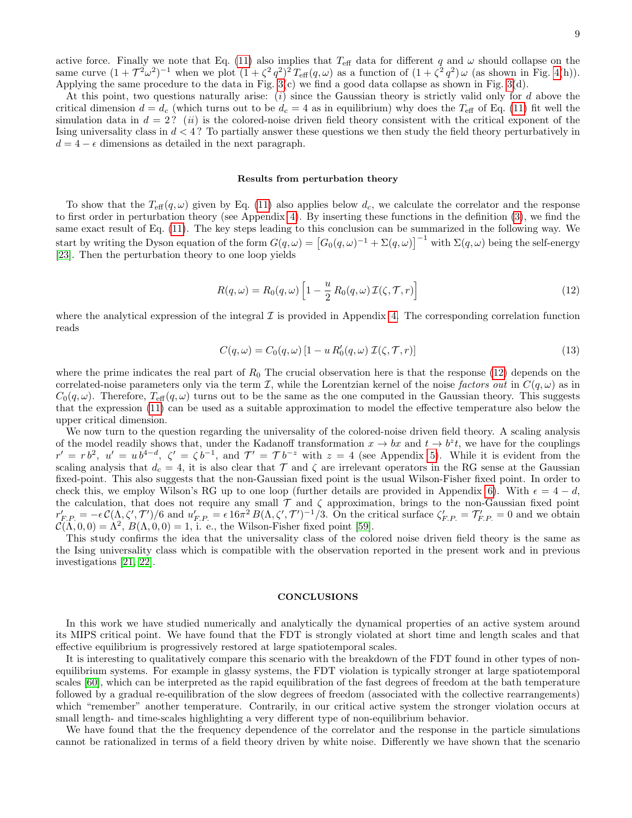9

active force. Finally we note that Eq. [\(11\)](#page-7-0) also implies that  $T_{\text{eff}}$  data for different q and  $\omega$  should collapse on the same curve  $(1 + \mathcal{T}^2 \omega^2)^{-1}$  when we plot  $(1 + \zeta^2 q^2)^2 T_{\text{eff}}(q, \omega)$  as a function of  $(1 + \zeta^2 q^2) \omega$  (as shown in Fig. [4\(](#page-6-3)h)). Applying the same procedure to the data in Fig.  $3(c)$  we find a good data collapse as shown in Fig.  $3(d)$ .

At this point, two questions naturally arise:  $(i)$  since the Gaussian theory is strictly valid only for d above the critical dimension  $d = d_c$  (which turns out to be  $d_c = 4$  as in equilibrium) why does the  $T_{\text{eff}}$  of Eq. [\(11\)](#page-7-0) fit well the simulation data in  $d = 2$ ? (ii) is the colored-noise driven field theory consistent with the critical exponent of the Ising universality class in  $d < 4$ ? To partially answer these questions we then study the field theory perturbatively in  $d = 4 - \epsilon$  dimensions as detailed in the next paragraph.

#### Results from perturbation theory

To show that the  $T_{\text{eff}}(q,\omega)$  given by Eq. [\(11\)](#page-7-0) also applies below  $d_c$ , we calculate the correlator and the response to first order in perturbation theory (see Appendix [4\)](#page-14-0). By inserting these functions in the definition [\(3\)](#page-4-0), we find the same exact result of Eq. [\(11\)](#page-7-0). The key steps leading to this conclusion can be summarized in the following way. We start by writing the Dyson equation of the form  $G(q,\omega) = [G_0(q,\omega)^{-1} + \Sigma(q,\omega)]^{-1}$  with  $\Sigma(q,\omega)$  being the self-energy [\[23\]](#page-10-6). Then the perturbation theory to one loop yields

<span id="page-8-0"></span>
$$
R(q,\omega) = R_0(q,\omega) \left[ 1 - \frac{u}{2} R_0(q,\omega) \mathcal{I}(\zeta, \mathcal{T}, r) \right]
$$
\n(12)

where the analytical expression of the integral  $\mathcal I$  is provided in Appendix [4.](#page-14-0) The corresponding correlation function reads

$$
C(q,\omega) = C_0(q,\omega) \left[1 - u R_0'(q,\omega) \mathcal{I}(\zeta, \mathcal{T}, r)\right]
$$
\n(13)

where the prime indicates the real part of  $R_0$  The crucial observation here is that the response [\(12\)](#page-8-0) depends on the correlated-noise parameters only via the term I, while the Lorentzian kernel of the noise factors out in  $C(q,\omega)$  as in  $C_0(q,\omega)$ . Therefore,  $T_{\text{eff}}(q,\omega)$  turns out to be the same as the one computed in the Gaussian theory. This suggests that the expression [\(11\)](#page-7-0) can be used as a suitable approximation to model the effective temperature also below the upper critical dimension.

We now turn to the question regarding the universality of the colored-noise driven field theory. A scaling analysis of the model readily shows that, under the Kadanoff transformation  $x \to bx$  and  $t \to b^z t$ , we have for the couplings  $r' = rb^2$ ,  $u' = ub^{4-d}$ ,  $\zeta' = \zeta b^{-1}$ , and  $\mathcal{T}' = \mathcal{T} b^{-z}$  with  $z = 4$  (see Appendix [5\)](#page-15-0). While it is evident from the scaling analysis that  $d_c = 4$ , it is also clear that  $\mathcal T$  and  $\zeta$  are irrelevant operators in the RG sense at the Gaussian fixed-point. This also suggests that the non-Gaussian fixed point is the usual Wilson-Fisher fixed point. In order to check this, we employ Wilson's RG up to one loop (further details are provided in Appendix [6\)](#page-15-1). With  $\epsilon = 4 - d$ , the calculation, that does not require any small  $\mathcal T$  and  $\zeta$  approximation, brings to the non-Gaussian fixed point  $r'_{F,P.} = -\epsilon \mathcal{C}(\Lambda, \zeta', \mathcal{T'})/6$  and  $u'_{F,P.} = \epsilon 16\pi^2 B(\Lambda, \zeta', \mathcal{T'})^{-1}/3$ . On the critical surface  $\zeta'_{F,P.} = \mathcal{T}'_{F,P.} = 0$  and we obtain  $\mathcal{C}(\Lambda, 0, 0) = \Lambda^2$ ,  $B(\Lambda, 0, 0) = 1$ , i. e., the Wilson-Fisher fixed point [\[59\]](#page-11-8).

This study confirms the idea that the universality class of the colored noise driven field theory is the same as the Ising universality class which is compatible with the observation reported in the present work and in previous investigations [\[21,](#page-10-4) [22\]](#page-10-5).

# **CONCLUSIONS**

In this work we have studied numerically and analytically the dynamical properties of an active system around its MIPS critical point. We have found that the FDT is strongly violated at short time and length scales and that effective equilibrium is progressively restored at large spatiotemporal scales.

It is interesting to qualitatively compare this scenario with the breakdown of the FDT found in other types of nonequilibrium systems. For example in glassy systems, the FDT violation is typically stronger at large spatiotemporal scales [\[60\]](#page-11-9), which can be interpreted as the rapid equilibration of the fast degrees of freedom at the bath temperature followed by a gradual re-equilibration of the slow degrees of freedom (associated with the collective rearrangements) which "remember" another temperature. Contrarily, in our critical active system the stronger violation occurs at small length- and time-scales highlighting a very different type of non-equilibrium behavior.

We have found that the the frequency dependence of the correlator and the response in the particle simulations cannot be rationalized in terms of a field theory driven by white noise. Differently we have shown that the scenario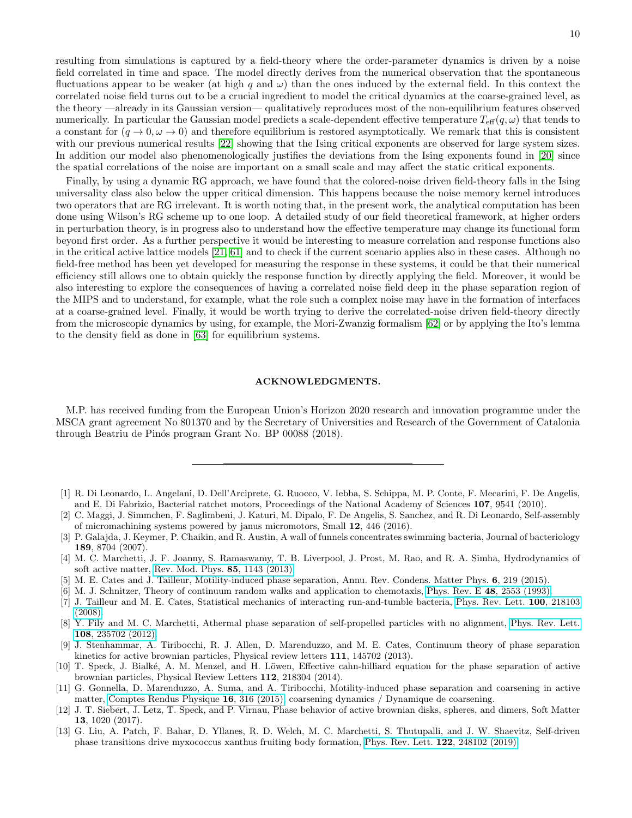resulting from simulations is captured by a field-theory where the order-parameter dynamics is driven by a noise field correlated in time and space. The model directly derives from the numerical observation that the spontaneous fluctuations appear to be weaker (at high q and  $\omega$ ) than the ones induced by the external field. In this context the correlated noise field turns out to be a crucial ingredient to model the critical dynamics at the coarse-grained level, as the theory —already in its Gaussian version— qualitatively reproduces most of the non-equilibrium features observed numerically. In particular the Gaussian model predicts a scale-dependent effective temperature  $T_{\text{eff}}(q,\omega)$  that tends to a constant for  $(q \to 0, \omega \to 0)$  and therefore equilibrium is restored asymptotically. We remark that this is consistent with our previous numerical results [\[22\]](#page-10-5) showing that the Ising critical exponents are observed for large system sizes. In addition our model also phenomenologically justifies the deviations from the Ising exponents found in [\[20\]](#page-10-3) since the spatial correlations of the noise are important on a small scale and may affect the static critical exponents.

Finally, by using a dynamic RG approach, we have found that the colored-noise driven field-theory falls in the Ising universality class also below the upper critical dimension. This happens because the noise memory kernel introduces two operators that are RG irrelevant. It is worth noting that, in the present work, the analytical computation has been done using Wilson's RG scheme up to one loop. A detailed study of our field theoretical framework, at higher orders in perturbation theory, is in progress also to understand how the effective temperature may change its functional form beyond first order. As a further perspective it would be interesting to measure correlation and response functions also in the critical active lattice models [\[21,](#page-10-4) [61\]](#page-11-10) and to check if the current scenario applies also in these cases. Although no field-free method has been yet developed for measuring the response in these systems, it could be that their numerical efficiency still allows one to obtain quickly the response function by directly applying the field. Moreover, it would be also interesting to explore the consequences of having a correlated noise field deep in the phase separation region of the MIPS and to understand, for example, what the role such a complex noise may have in the formation of interfaces at a coarse-grained level. Finally, it would be worth trying to derive the correlated-noise driven field-theory directly from the microscopic dynamics by using, for example, the Mori-Zwanzig formalism [\[62\]](#page-11-11) or by applying the Ito's lemma to the density field as done in [\[63\]](#page-11-12) for equilibrium systems.

# ACKNOWLEDGMENTS.

M.P. has received funding from the European Union's Horizon 2020 research and innovation programme under the MSCA grant agreement No 801370 and by the Secretary of Universities and Research of the Government of Catalonia through Beatriu de Pinós program Grant No. BP 00088 (2018).

- <span id="page-9-0"></span>[1] R. Di Leonardo, L. Angelani, D. Dell'Arciprete, G. Ruocco, V. Iebba, S. Schippa, M. P. Conte, F. Mecarini, F. De Angelis, and E. Di Fabrizio, Bacterial ratchet motors, Proceedings of the National Academy of Sciences 107, 9541 (2010).
- <span id="page-9-1"></span>[2] C. Maggi, J. Simmchen, F. Saglimbeni, J. Katuri, M. Dipalo, F. De Angelis, S. Sanchez, and R. Di Leonardo, Self-assembly of micromachining systems powered by janus micromotors, Small 12, 446 (2016).
- <span id="page-9-2"></span>[3] P. Galajda, J. Keymer, P. Chaikin, and R. Austin, A wall of funnels concentrates swimming bacteria, Journal of bacteriology 189, 8704 (2007).
- <span id="page-9-3"></span>[4] M. C. Marchetti, J. F. Joanny, S. Ramaswamy, T. B. Liverpool, J. Prost, M. Rao, and R. A. Simha, Hydrodynamics of soft active matter, [Rev. Mod. Phys.](https://doi.org/10.1103/RevModPhys.85.1143) 85, 1143 (2013).
- <span id="page-9-4"></span>[5] M. E. Cates and J. Tailleur, Motility-induced phase separation, Annu. Rev. Condens. Matter Phys. 6, 219 (2015).
- <span id="page-9-5"></span>[6] M. J. Schnitzer, Theory of continuum random walks and application to chemotaxis, Phys. Rev. E 48[, 2553 \(1993\).](https://doi.org/10.1103/PhysRevE.48.2553)
- [7] J. Tailleur and M. E. Cates, Statistical mechanics of interacting run-and-tumble bacteria, [Phys. Rev. Lett.](https://doi.org/10.1103/PhysRevLett.100.218103) 100, 218103 [\(2008\).](https://doi.org/10.1103/PhysRevLett.100.218103)
- [8] Y. Fily and M. C. Marchetti, Athermal phase separation of self-propelled particles with no alignment, [Phys. Rev. Lett.](https://doi.org/10.1103/PhysRevLett.108.235702) 108[, 235702 \(2012\).](https://doi.org/10.1103/PhysRevLett.108.235702)
- [9] J. Stenhammar, A. Tiribocchi, R. J. Allen, D. Marenduzzo, and M. E. Cates, Continuum theory of phase separation kinetics for active brownian particles, Physical review letters 111, 145702 (2013).
- [10] T. Speck, J. Bialké, A. M. Menzel, and H. Löwen, Effective cahn-hilliard equation for the phase separation of active brownian particles, Physical Review Letters 112, 218304 (2014).
- [11] G. Gonnella, D. Marenduzzo, A. Suma, and A. Tiribocchi, Motility-induced phase separation and coarsening in active matter, [Comptes Rendus Physique](https://doi.org/https://doi.org/10.1016/j.crhy.2015.05.001) 16, 316 (2015), coarsening dynamics / Dynamique de coarsening.
- [12] J. T. Siebert, J. Letz, T. Speck, and P. Virnau, Phase behavior of active brownian disks, spheres, and dimers, Soft Matter 13, 1020 (2017).
- [13] G. Liu, A. Patch, F. Bahar, D. Yllanes, R. D. Welch, M. C. Marchetti, S. Thutupalli, and J. W. Shaevitz, Self-driven phase transitions drive myxococcus xanthus fruiting body formation, [Phys. Rev. Lett.](https://doi.org/10.1103/PhysRevLett.122.248102) 122, 248102 (2019).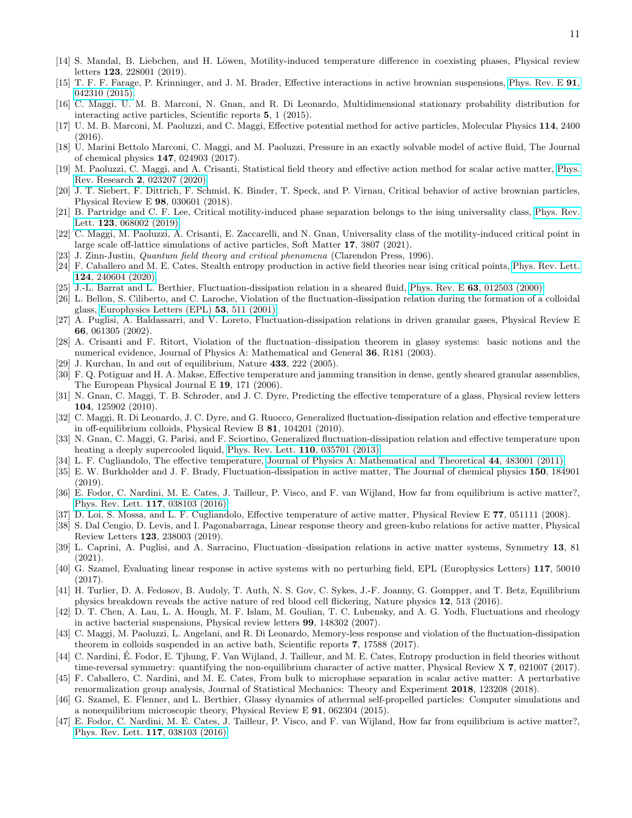- <span id="page-10-0"></span>[14] S. Mandal, B. Liebchen, and H. Löwen, Motility-induced temperature difference in coexisting phases, Physical review letters 123, 228001 (2019).
- <span id="page-10-1"></span>[15] T. F. F. Farage, P. Krinninger, and J. M. Brader, Effective interactions in active brownian suspensions, [Phys. Rev. E](https://doi.org/10.1103/PhysRevE.91.042310) 91, [042310 \(2015\).](https://doi.org/10.1103/PhysRevE.91.042310)
- <span id="page-10-17"></span>[16] C. Maggi, U. M. B. Marconi, N. Gnan, and R. Di Leonardo, Multidimensional stationary probability distribution for interacting active particles, Scientific reports 5, 1 (2015).
- [17] U. M. B. Marconi, M. Paoluzzi, and C. Maggi, Effective potential method for active particles, Molecular Physics 114, 2400 (2016).
- [18] U. Marini Bettolo Marconi, C. Maggi, and M. Paoluzzi, Pressure in an exactly solvable model of active fluid, The Journal of chemical physics 147, 024903 (2017).
- <span id="page-10-2"></span>[19] M. Paoluzzi, C. Maggi, and A. Crisanti, Statistical field theory and effective action method for scalar active matter, [Phys.](https://doi.org/10.1103/PhysRevResearch.2.023207) Rev. Research 2[, 023207 \(2020\).](https://doi.org/10.1103/PhysRevResearch.2.023207)
- <span id="page-10-3"></span>[20] J. T. Siebert, F. Dittrich, F. Schmid, K. Binder, T. Speck, and P. Virnau, Critical behavior of active brownian particles, Physical Review E 98, 030601 (2018).
- <span id="page-10-4"></span>[21] B. Partridge and C. F. Lee, Critical motility-induced phase separation belongs to the ising universality class, [Phys. Rev.](https://doi.org/10.1103/PhysRevLett.123.068002) Lett. 123[, 068002 \(2019\).](https://doi.org/10.1103/PhysRevLett.123.068002)
- <span id="page-10-5"></span>[22] C. Maggi, M. Paoluzzi, A. Crisanti, E. Zaccarelli, and N. Gnan, Universality class of the motility-induced critical point in large scale off-lattice simulations of active particles, Soft Matter 17, 3807 (2021).
- <span id="page-10-6"></span>[23] J. Zinn-Justin, Quantum field theory and critical phenomena (Clarendon Press, 1996).
- <span id="page-10-7"></span>[24] F. Caballero and M. E. Cates, Stealth entropy production in active field theories near ising critical points, [Phys. Rev. Lett.](https://doi.org/10.1103/PhysRevLett.124.240604) 124[, 240604 \(2020\).](https://doi.org/10.1103/PhysRevLett.124.240604)
- <span id="page-10-8"></span>[25] J.-L. Barrat and L. Berthier, Fluctuation-dissipation relation in a sheared fluid, Phys. Rev. E 63[, 012503 \(2000\).](https://doi.org/10.1103/PhysRevE.63.012503)
- [26] L. Bellon, S. Ciliberto, and C. Laroche, Violation of the fluctuation-dissipation relation during the formation of a colloidal glass, [Europhysics Letters \(EPL\)](https://doi.org/10.1209/epl/i2001-00182-9) 53, 511 (2001).
- [27] A. Puglisi, A. Baldassarri, and V. Loreto, Fluctuation-dissipation relations in driven granular gases, Physical Review E 66, 061305 (2002).
- <span id="page-10-22"></span>[28] A. Crisanti and F. Ritort, Violation of the fluctuation–dissipation theorem in glassy systems: basic notions and the numerical evidence, Journal of Physics A: Mathematical and General 36, R181 (2003).
- [29] J. Kurchan, In and out of equilibrium, Nature 433, 222 (2005).
- [30] F. Q. Potiguar and H. A. Makse, Effective temperature and jamming transition in dense, gently sheared granular assemblies, The European Physical Journal E 19, 171 (2006).
- [31] N. Gnan, C. Maggi, T. B. Schrøder, and J. C. Dyre, Predicting the effective temperature of a glass, Physical review letters 104, 125902 (2010).
- [32] C. Maggi, R. Di Leonardo, J. C. Dyre, and G. Ruocco, Generalized fluctuation-dissipation relation and effective temperature in off-equilibrium colloids, Physical Review B 81, 104201 (2010).
- [33] N. Gnan, C. Maggi, G. Parisi, and F. Sciortino, Generalized fluctuation-dissipation relation and effective temperature upon heating a deeply supercooled liquid, [Phys. Rev. Lett.](https://doi.org/10.1103/PhysRevLett.110.035701) **110**, 035701 (2013).
- <span id="page-10-9"></span>[34] L. F. Cugliandolo, The effective temperature, [Journal of Physics A: Mathematical and Theoretical](https://doi.org/10.1088/1751-8113/44/48/483001) 44, 483001 (2011).
- <span id="page-10-10"></span>[35] E. W. Burkholder and J. F. Brady, Fluctuation-dissipation in active matter, The Journal of chemical physics 150, 184901 (2019).
- [36] E. Fodor, C. Nardini, M. E. Cates, J. Tailleur, P. Visco, and F. van Wijland, How far from equilibrium is active matter?, [Phys. Rev. Lett.](https://doi.org/10.1103/PhysRevLett.117.038103) 117, 038103 (2016).
- [37] D. Loi, S. Mossa, and L. F. Cugliandolo, Effective temperature of active matter, Physical Review E 77, 051111 (2008).
- <span id="page-10-19"></span>[38] S. Dal Cengio, D. Levis, and I. Pagonabarraga, Linear response theory and green-kubo relations for active matter, Physical Review Letters 123, 238003 (2019).
- <span id="page-10-21"></span>[39] L. Caprini, A. Puglisi, and A. Sarracino, Fluctuation–dissipation relations in active matter systems, Symmetry 13, 81 (2021).
- <span id="page-10-11"></span>[40] G. Szamel, Evaluating linear response in active systems with no perturbing field, EPL (Europhysics Letters) 117, 50010 (2017).
- <span id="page-10-12"></span>[41] H. Turlier, D. A. Fedosov, B. Audoly, T. Auth, N. S. Gov, C. Sykes, J.-F. Joanny, G. Gompper, and T. Betz, Equilibrium physics breakdown reveals the active nature of red blood cell flickering, Nature physics 12, 513 (2016).
- <span id="page-10-13"></span>[42] D. T. Chen, A. Lau, L. A. Hough, M. F. Islam, M. Goulian, T. C. Lubensky, and A. G. Yodh, Fluctuations and rheology in active bacterial suspensions, Physical review letters 99, 148302 (2007).
- <span id="page-10-14"></span>[43] C. Maggi, M. Paoluzzi, L. Angelani, and R. Di Leonardo, Memory-less response and violation of the fluctuation-dissipation theorem in colloids suspended in an active bath, Scientific reports 7, 17588 (2017).
- <span id="page-10-15"></span>[44] C. Nardini, E. Fodor, E. Tjhung, F. Van Wijland, J. Tailleur, and M. E. Cates, Entropy production in field theories without ´ time-reversal symmetry: quantifying the non-equilibrium character of active matter, Physical Review X 7, 021007 (2017).
- <span id="page-10-16"></span>[45] F. Caballero, C. Nardini, and M. E. Cates, From bulk to microphase separation in scalar active matter: A perturbative renormalization group analysis, Journal of Statistical Mechanics: Theory and Experiment 2018, 123208 (2018).
- <span id="page-10-18"></span>[46] G. Szamel, E. Flenner, and L. Berthier, Glassy dynamics of athermal self-propelled particles: Computer simulations and a nonequilibrium microscopic theory, Physical Review E 91, 062304 (2015).
- <span id="page-10-20"></span>[47] E. Fodor, C. Nardini, M. E. Cates, J. Tailleur, P. Visco, and F. van Wijland, How far from equilibrium is active matter?, [Phys. Rev. Lett.](https://doi.org/10.1103/PhysRevLett.117.038103) 117, 038103 (2016).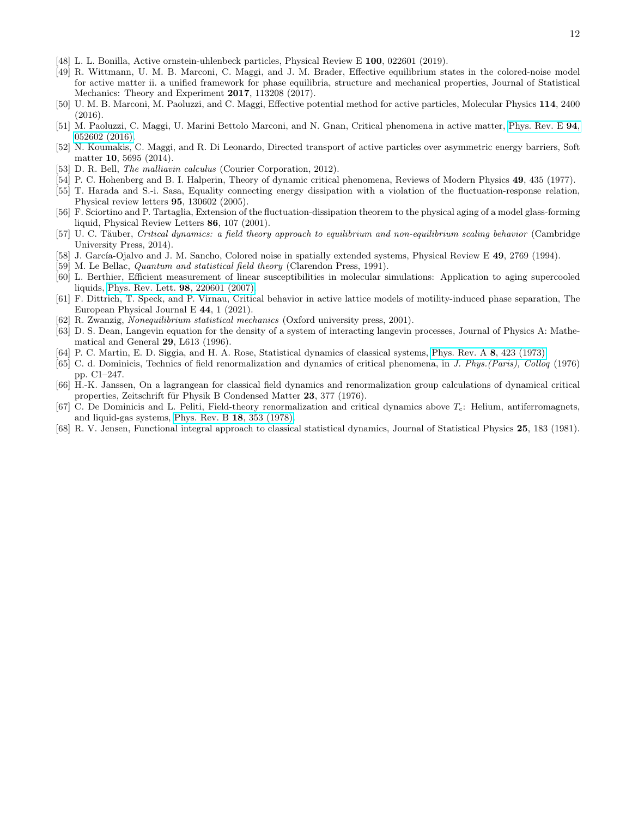- [48] L. L. Bonilla, Active ornstein-uhlenbeck particles, Physical Review E 100, 022601 (2019).
- [49] R. Wittmann, U. M. B. Marconi, C. Maggi, and J. M. Brader, Effective equilibrium states in the colored-noise model for active matter ii. a unified framework for phase equilibria, structure and mechanical properties, Journal of Statistical Mechanics: Theory and Experiment 2017, 113208 (2017).
- [50] U. M. B. Marconi, M. Paoluzzi, and C. Maggi, Effective potential method for active particles, Molecular Physics 114, 2400 (2016).
- <span id="page-11-0"></span>[51] M. Paoluzzi, C. Maggi, U. Marini Bettolo Marconi, and N. Gnan, Critical phenomena in active matter, [Phys. Rev. E](https://doi.org/10.1103/PhysRevE.94.052602) 94, [052602 \(2016\).](https://doi.org/10.1103/PhysRevE.94.052602)
- <span id="page-11-1"></span>[52] N. Koumakis, C. Maggi, and R. Di Leonardo, Directed transport of active particles over asymmetric energy barriers, Soft matter 10, 5695 (2014).
- <span id="page-11-2"></span>[53] D. R. Bell, *The malliavin calculus* (Courier Corporation, 2012).
- <span id="page-11-3"></span>[54] P. C. Hohenberg and B. I. Halperin, Theory of dynamic critical phenomena, Reviews of Modern Physics 49, 435 (1977).
- <span id="page-11-4"></span>[55] T. Harada and S.-i. Sasa, Equality connecting energy dissipation with a violation of the fluctuation-response relation, Physical review letters 95, 130602 (2005).
- <span id="page-11-5"></span>[56] F. Sciortino and P. Tartaglia, Extension of the fluctuation-dissipation theorem to the physical aging of a model glass-forming liquid, Physical Review Letters 86, 107 (2001).
- <span id="page-11-6"></span>[57] U. C. Täuber, Critical dynamics: a field theory approach to equilibrium and non-equilibrium scaling behavior (Cambridge University Press, 2014).
- <span id="page-11-7"></span>[58] J. García-Ojalvo and J. M. Sancho, Colored noise in spatially extended systems, Physical Review E 49, 2769 (1994).
- <span id="page-11-8"></span>[59] M. Le Bellac, *Quantum and statistical field theory* (Clarendon Press, 1991).
- <span id="page-11-9"></span>[60] L. Berthier, Efficient measurement of linear susceptibilities in molecular simulations: Application to aging supercooled liquids, [Phys. Rev. Lett.](https://doi.org/10.1103/PhysRevLett.98.220601) 98, 220601 (2007).
- <span id="page-11-10"></span>[61] F. Dittrich, T. Speck, and P. Virnau, Critical behavior in active lattice models of motility-induced phase separation, The European Physical Journal E 44, 1 (2021).
- <span id="page-11-11"></span>[62] R. Zwanzig, Nonequilibrium statistical mechanics (Oxford university press, 2001).
- <span id="page-11-12"></span>[63] D. S. Dean, Langevin equation for the density of a system of interacting langevin processes, Journal of Physics A: Mathematical and General 29, L613 (1996).
- <span id="page-11-13"></span>[64] P. C. Martin, E. D. Siggia, and H. A. Rose, Statistical dynamics of classical systems, [Phys. Rev. A](https://doi.org/10.1103/PhysRevA.8.423) 8, 423 (1973).
- [65] C. d. Dominicis, Technics of field renormalization and dynamics of critical phenomena, in J. Phys.(Paris), Colloq (1976) pp. C1–247.
- [66] H.-K. Janssen, On a lagrangean for classical field dynamics and renormalization group calculations of dynamical critical properties, Zeitschrift für Physik B Condensed Matter 23, 377 (1976).
- [67] C. De Dominicis and L. Peliti, Field-theory renormalization and critical dynamics above  $T_c$ : Helium, antiferromagnets, and liquid-gas systems, [Phys. Rev. B](https://doi.org/10.1103/PhysRevB.18.353) 18, 353 (1978).
- <span id="page-11-14"></span>[68] R. V. Jensen, Functional integral approach to classical statistical dynamics, Journal of Statistical Physics 25, 183 (1981).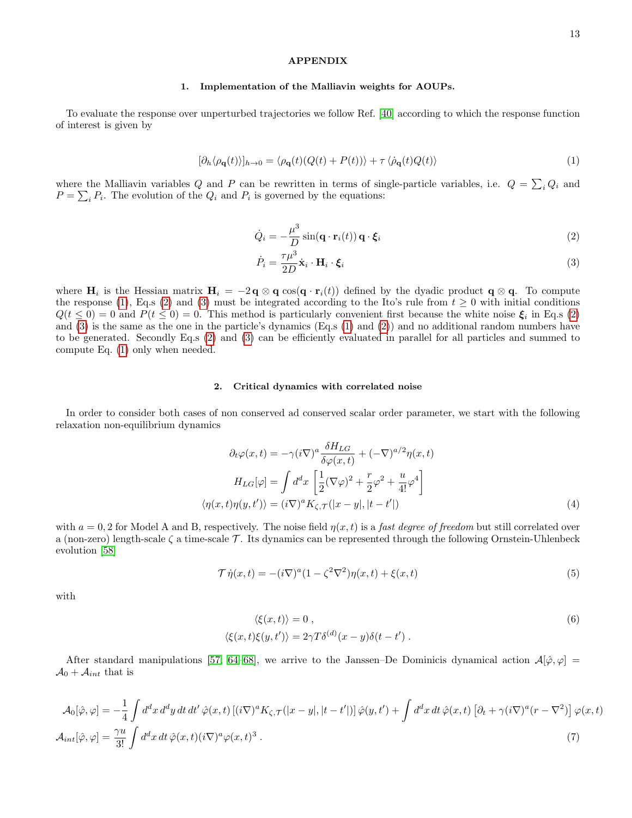# APPENDIX

#### <span id="page-12-0"></span>1. Implementation of the Malliavin weights for AOUPs.

To evaluate the response over unperturbed trajectories we follow Ref. [\[40\]](#page-10-11) according to which the response function of interest is given by

<span id="page-12-2"></span>
$$
[\partial_h \langle \rho_{\mathbf{q}}(t) \rangle]_{h \to 0} = \langle \rho_{\mathbf{q}}(t)(Q(t) + P(t)) \rangle + \tau \langle \dot{\rho}_{\mathbf{q}}(t)Q(t) \rangle \tag{1}
$$

where the Malliavin variables Q and P can be rewritten in terms of single-particle variables, i.e.  $Q = \sum_i Q_i$  and  $P = \sum_i P_i$ . The evolution of the  $Q_i$  and  $P_i$  is governed by the equations:

<span id="page-12-3"></span>
$$
\dot{Q}_i = -\frac{\mu^3}{D} \sin(\mathbf{q} \cdot \mathbf{r}_i(t)) \mathbf{q} \cdot \boldsymbol{\xi}_i
$$
 (2)

$$
\dot{P}_i = \frac{\tau \mu^3}{2D} \dot{\mathbf{x}}_i \cdot \mathbf{H}_i \cdot \boldsymbol{\xi}_i
$$
\n(3)

where  $H_i$  is the Hessian matrix  $H_i = -2q \otimes q \cos(q \cdot r_i(t))$  defined by the dyadic product  $q \otimes q$ . To compute the response [\(1\)](#page-12-2), Eq.s [\(2\)](#page-12-3) and [\(3\)](#page-12-3) must be integrated according to the Ito's rule from  $t \geq 0$  with initial conditions  $Q(t \leq 0) = 0$  and  $P(t \leq 0) = 0$ . This method is particularly convenient first because the white noise  $\xi_i$  in Eq.s. [\(2\)](#page-12-3) and  $(3)$  is the same as the one in the particle's dynamics (Eq.s  $(1)$  and  $(2)$ ) and no additional random numbers have to be generated. Secondly Eq.s [\(2\)](#page-12-3) and [\(3\)](#page-12-3) can be efficiently evaluated in parallel for all particles and summed to compute Eq. [\(1\)](#page-12-2) only when needed.

#### <span id="page-12-1"></span>2. Critical dynamics with correlated noise

In order to consider both cases of non conserved ad conserved scalar order parameter, we start with the following relaxation non-equilibrium dynamics

$$
\partial_t \varphi(x,t) = -\gamma (i\nabla)^a \frac{\delta H_{LG}}{\delta \varphi(x,t)} + (-\nabla)^{a/2} \eta(x,t)
$$

$$
H_{LG}[\varphi] = \int d^d x \left[ \frac{1}{2} (\nabla \varphi)^2 + \frac{r}{2} \varphi^2 + \frac{u}{4!} \varphi^4 \right]
$$

$$
\langle \eta(x,t)\eta(y,t') \rangle = (i\nabla)^a K_{\zeta,\mathcal{T}}(|x-y|, |t-t'|)
$$
(4)

with  $a = 0, 2$  for Model A and B, respectively. The noise field  $\eta(x, t)$  is a *fast degree of freedom* but still correlated over a (non-zero) length-scale  $\zeta$  a time-scale  $\mathcal T$ . Its dynamics can be represented through the following Ornstein-Uhlenbeck evolution [\[58\]](#page-11-7)

$$
\mathcal{T}\dot{\eta}(x,t) = -(i\nabla)^a (1 - \zeta^2 \nabla^2) \eta(x,t) + \xi(x,t)
$$
\n(5)

with

$$
\langle \xi(x,t) \rangle = 0 ,
$$
  

$$
\langle \xi(x,t) \xi(y,t') \rangle = 2\gamma T \delta^{(d)}(x-y) \delta(t-t') .
$$
 (6)

After standard manipulations [\[57,](#page-11-6) [64–](#page-11-13)[68\]](#page-11-14), we arrive to the Janssen–De Dominicis dynamical action  $\mathcal{A}[\hat{\varphi},\varphi] =$  $\mathcal{A}_0 + \mathcal{A}_{int}$  that is

$$
\mathcal{A}_0[\hat{\varphi}, \varphi] = -\frac{1}{4} \int d^d x \, d^d y \, dt \, dt' \, \hat{\varphi}(x, t) \left[ (i\nabla)^a K_{\zeta, \mathcal{T}}(|x - y|, |t - t'|) \right] \hat{\varphi}(y, t') + \int d^d x \, dt \, \hat{\varphi}(x, t) \left[ \partial_t + \gamma (i\nabla)^a (r - \nabla^2) \right] \varphi(x, t)
$$
\n
$$
\mathcal{A}_{int}[\hat{\varphi}, \varphi] = \frac{\gamma u}{3!} \int d^d x \, dt \, \hat{\varphi}(x, t) (i\nabla)^a \varphi(x, t)^3 \,. \tag{7}
$$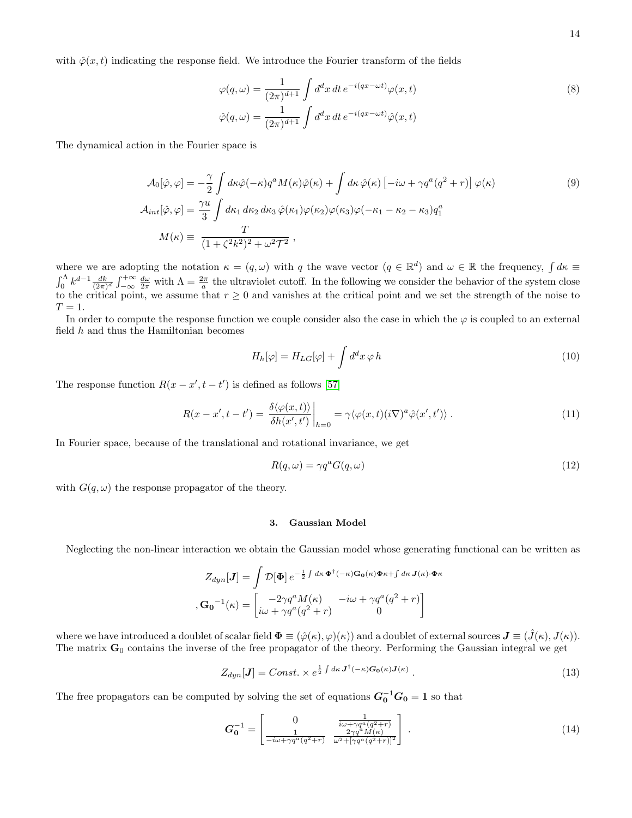with  $\hat{\varphi}(x, t)$  indicating the response field. We introduce the Fourier transform of the fields

$$
\varphi(q,\omega) = \frac{1}{(2\pi)^{d+1}} \int d^d x \, dt \, e^{-i(qx-\omega t)} \varphi(x,t)
$$
\n
$$
\hat{\varphi}(q,\omega) = \frac{1}{(2\pi)^{d+1}} \int d^d x \, dt \, e^{-i(qx-\omega t)} \hat{\varphi}(x,t)
$$
\n(8)

The dynamical action in the Fourier space is

$$
\mathcal{A}_0[\hat{\varphi}, \varphi] = -\frac{\gamma}{2} \int d\kappa \hat{\varphi}(-\kappa) q^a M(\kappa) \hat{\varphi}(\kappa) + \int d\kappa \, \hat{\varphi}(\kappa) \left[ -i\omega + \gamma q^a (q^2 + r) \right] \varphi(\kappa)
$$
\n
$$
\mathcal{A}_{int}[\hat{\varphi}, \varphi] = \frac{\gamma u}{3} \int d\kappa_1 d\kappa_2 d\kappa_3 \, \hat{\varphi}(\kappa_1) \varphi(\kappa_2) \varphi(\kappa_3) \varphi(-\kappa_1 - \kappa_2 - \kappa_3) q_1^a
$$
\n
$$
M(\kappa) \equiv \frac{T}{(1 + \zeta^2 k^2)^2 + \omega^2 T^2} \,,
$$
\n(9)

where we are adopting the notation  $\kappa = (q, \omega)$  with q the wave vector  $(q \in \mathbb{R}^d)$  and  $\omega \in \mathbb{R}$  the frequency,  $\int d\kappa \equiv$  $\int_0^{\Lambda} k^{d-1} \frac{dk}{(2\pi)^d} \int_{-\infty}^{+\infty} \frac{d\omega}{2\pi}$  with  $\Lambda = \frac{2\pi}{a}$  the ultraviolet cutoff. In the following we consider the behavior of the system close to the critical point, we assume that  $r \geq 0$  and vanishes at the critical point and we set the strength of the noise to  $T=1$ .

In order to compute the response function we couple consider also the case in which the  $\varphi$  is coupled to an external field  $h$  and thus the Hamiltonian becomes

$$
H_h[\varphi] = H_{LG}[\varphi] + \int d^d x \, \varphi \, h \tag{10}
$$

The response function  $R(x - x', t - t')$  is defined as follows [\[57\]](#page-11-6)

$$
R(x - x', t - t') = \left. \frac{\delta \langle \varphi(x, t) \rangle}{\delta h(x', t')} \right|_{h=0} = \gamma \langle \varphi(x, t) (i\nabla)^a \hat{\varphi}(x', t') \rangle . \tag{11}
$$

In Fourier space, because of the translational and rotational invariance, we get

$$
R(q,\omega) = \gamma q^a G(q,\omega) \tag{12}
$$

with  $G(q, \omega)$  the response propagator of the theory.

# <span id="page-13-0"></span>3. Gaussian Model

Neglecting the non-linear interaction we obtain the Gaussian model whose generating functional can be written as

$$
Z_{dyn}[\mathbf{J}] = \int \mathcal{D}[\mathbf{\Phi}] e^{-\frac{1}{2} \int d\kappa \mathbf{\Phi}^{\dagger}(-\kappa) \mathbf{G}_{0}(\kappa) \mathbf{\Phi}\kappa + \int d\kappa \mathbf{J}(\kappa) \cdot \mathbf{\Phi}\kappa}
$$

$$
, \mathbf{G}_{0}^{-1}(\kappa) = \begin{bmatrix} -2\gamma q^{a} M(\kappa) & -i\omega + \gamma q^{a} (q^{2} + r) \\ i\omega + \gamma q^{a} (q^{2} + r) & 0 \end{bmatrix}
$$

where we have introduced a doublet of scalar field  $\Phi \equiv (\hat{\varphi}(\kappa), \varphi)(\kappa))$  and a doublet of external sources  $\mathbf{J} \equiv (\hat{J}(\kappa), J(\kappa))$ . The matrix  $G_0$  contains the inverse of the free propagator of the theory. Performing the Gaussian integral we get

$$
Z_{dyn}[J] = Const. \times e^{\frac{1}{2}\int d\kappa J^{\dagger}(-\kappa)G_{0}(\kappa)J(\kappa)}.
$$
\n(13)

The free propagators can be computed by solving the set of equations  $G_0^{-1}G_0 = 1$  so that

$$
\mathbf{G_0}^{-1} = \begin{bmatrix} 0 & \frac{1}{i\omega + \gamma q^a (q^2 + r)} \\ \frac{1}{-i\omega + \gamma q^a (q^2 + r)} & \frac{2\gamma q^a M(\kappa)}{\omega^2 + [\gamma q^a (q^2 + r)]^2} \end{bmatrix} . \tag{14}
$$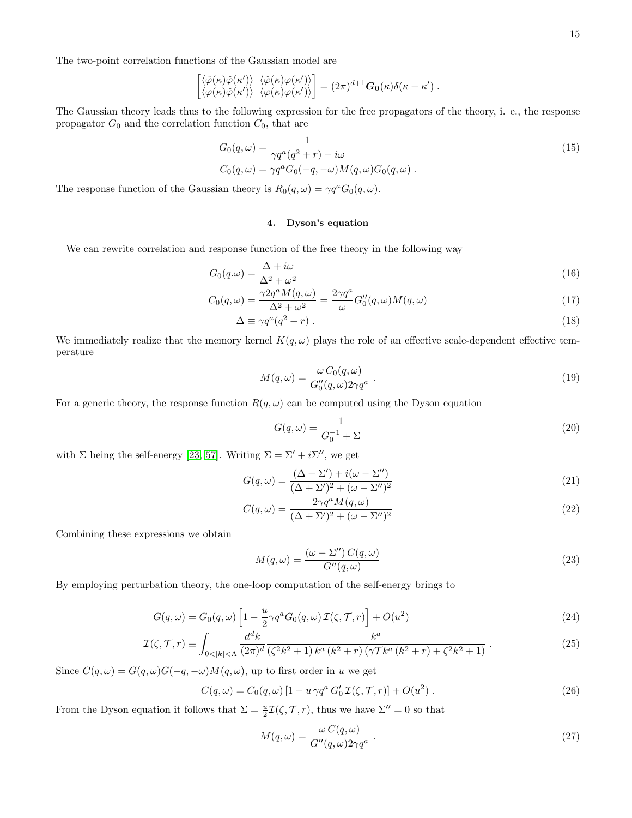The two-point correlation functions of the Gaussian model are

$$
\begin{bmatrix}\n\langle \hat{\varphi}(\kappa) \hat{\varphi}(\kappa') \rangle & \langle \hat{\varphi}(\kappa) \varphi(\kappa') \rangle \\
\langle \varphi(\kappa) \hat{\varphi}(\kappa') \rangle & \langle \varphi(\kappa) \varphi(\kappa') \rangle\n\end{bmatrix} = (2\pi)^{d+1} \mathbf{G_0}(\kappa) \delta(\kappa + \kappa') .
$$

The Gaussian theory leads thus to the following expression for the free propagators of the theory, i. e., the response propagator  $G_0$  and the correlation function  $C_0$ , that are

$$
G_0(q,\omega) = \frac{1}{\gamma q^a (q^2 + r) - i\omega}
$$
  
\n
$$
C_0(q,\omega) = \gamma q^a G_0(-q,-\omega) M(q,\omega) G_0(q,\omega) .
$$
\n(15)

The response function of the Gaussian theory is  $R_0(q, \omega) = \gamma q^a G_0(q, \omega)$ .

# <span id="page-14-0"></span>4. Dyson's equation

We can rewrite correlation and response function of the free theory in the following way

$$
G_0(q.\omega) = \frac{\Delta + i\omega}{\Delta^2 + \omega^2} \tag{16}
$$

$$
C_0(q,\omega) = \frac{\gamma 2q^a M(q,\omega)}{\Delta^2 + \omega^2} = \frac{2\gamma q^a}{\omega} G_0''(q,\omega) M(q,\omega)
$$
\n(17)

$$
\Delta \equiv \gamma q^a (q^2 + r) \,. \tag{18}
$$

We immediately realize that the memory kernel  $K(q,\omega)$  plays the role of an effective scale-dependent effective temperature

$$
M(q,\omega) = \frac{\omega C_0(q,\omega)}{G_0''(q,\omega)2\gamma q^a}.
$$
\n(19)

For a generic theory, the response function  $R(q, \omega)$  can be computed using the Dyson equation

$$
G(q,\omega) = \frac{1}{G_0^{-1} + \Sigma} \tag{20}
$$

with  $\Sigma$  being the self-energy [\[23,](#page-10-6) [57\]](#page-11-6). Writing  $\Sigma = \Sigma' + i\Sigma''$ , we get

$$
G(q,\omega) = \frac{(\Delta + \Sigma') + i(\omega - \Sigma'')}{(\Delta + \Sigma')^2 + (\omega - \Sigma'')^2}
$$
\n(21)

$$
C(q,\omega) = \frac{2\gamma q^a M(q,\omega)}{(\Delta + \Sigma')^2 + (\omega - \Sigma'')^2}
$$
\n(22)

Combining these expressions we obtain

$$
M(q,\omega) = \frac{(\omega - \Sigma'') C(q,\omega)}{G''(q,\omega)}
$$
\n(23)

By employing perturbation theory, the one-loop computation of the self-energy brings to

$$
G(q,\omega) = G_0(q,\omega) \left[ 1 - \frac{u}{2} \gamma q^a G_0(q,\omega) \mathcal{I}(\zeta, \mathcal{T}, r) \right] + O(u^2)
$$
\n(24)

$$
\mathcal{I}(\zeta, \mathcal{T}, r) \equiv \int_{0 < |k| < \Lambda} \frac{d^d k}{(2\pi)^d} \frac{k^a}{(\zeta^2 k^2 + 1) k^a (k^2 + r) (\gamma \mathcal{T} k^a (k^2 + r) + \zeta^2 k^2 + 1)} \,. \tag{25}
$$

Since  $C(q, \omega) = G(q, \omega)G(-q, -\omega)M(q, \omega)$ , up to first order in u we get

$$
C(q,\omega) = C_0(q,\omega) \left[ 1 - u \gamma q^a G'_0 \mathcal{I}(\zeta, \mathcal{T}, r) \right] + O(u^2) \,. \tag{26}
$$

From the Dyson equation it follows that  $\Sigma = \frac{u}{2} \mathcal{I}(\zeta, \mathcal{T}, r)$ , thus we have  $\Sigma'' = 0$  so that

$$
M(q,\omega) = \frac{\omega C(q,\omega)}{G''(q,\omega)2\gamma q^a} \,. \tag{27}
$$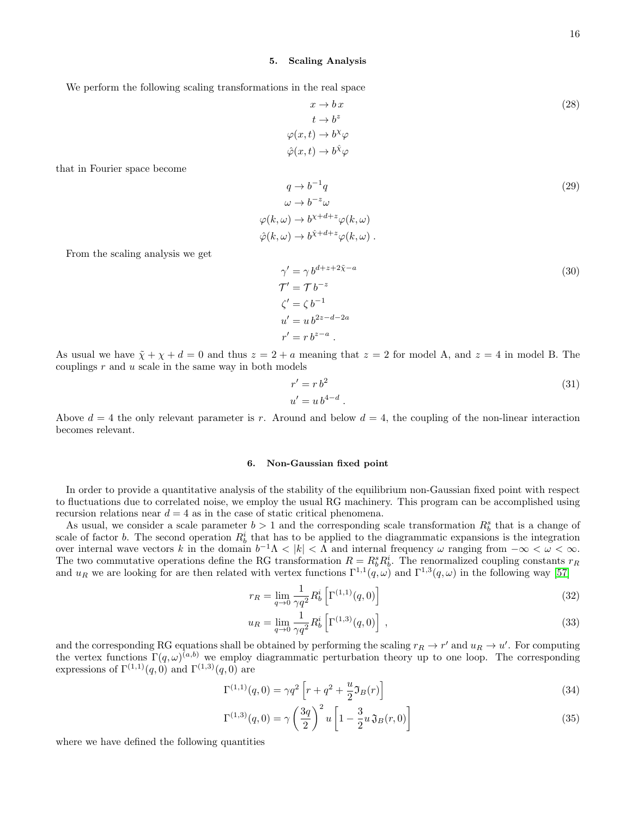#### <span id="page-15-0"></span>5. Scaling Analysis

We perform the following scaling transformations in the real space

$$
x \to bx
$$
  
\n
$$
t \to b^z
$$
  
\n
$$
\varphi(x, t) \to b^{\chi} \varphi
$$
  
\n
$$
\hat{\varphi}(x, t) \to b^{\hat{\chi}} \varphi
$$
  
\n(28)

that in Fourier space become

$$
q \to b^{-1}q
$$
  
\n
$$
\omega \to b^{-z}\omega
$$
  
\n
$$
\varphi(k,\omega) \to b^{\chi+d+z}\varphi(k,\omega)
$$
  
\n
$$
\hat{\varphi}(k,\omega) \to b^{\hat{\chi}+d+z}\varphi(k,\omega).
$$
\n(29)

From the scaling analysis we get

$$
\gamma' = \gamma b^{d+z+2\tilde{\chi}-a}
$$
  
\n
$$
\mathcal{T}' = \mathcal{T} b^{-z}
$$
  
\n
$$
\zeta' = \zeta b^{-1}
$$
  
\n
$$
u' = u b^{2z-d-2a}
$$
  
\n
$$
r' = r b^{z-a}
$$

As usual we have  $\tilde{\chi} + \chi + d = 0$  and thus  $z = 2 + a$  meaning that  $z = 2$  for model A, and  $z = 4$  in model B. The couplings  $r$  and  $u$  scale in the same way in both models

$$
r' = rb^2
$$

$$
u' = ub^{4-d}.
$$

$$
(31)
$$

Above  $d = 4$  the only relevant parameter is r. Around and below  $d = 4$ , the coupling of the non-linear interaction becomes relevant.

#### <span id="page-15-1"></span>6. Non-Gaussian fixed point

In order to provide a quantitative analysis of the stability of the equilibrium non-Gaussian fixed point with respect to fluctuations due to correlated noise, we employ the usual RG machinery. This program can be accomplished using recursion relations near  $d = 4$  as in the case of static critical phenomena.

As usual, we consider a scale parameter  $b > 1$  and the corresponding scale transformation  $R_b^s$  that is a change of scale of factor b. The second operation  $R_b^i$  that has to be applied to the diagrammatic expansions is the integration over internal wave vectors k in the domain  $b^{-1}\Lambda < |k| < \Lambda$  and internal frequency  $\omega$  ranging from  $-\infty < \omega < \infty$ . The two commutative operations define the RG transformation  $R = R_b^s R_b^i$ . The renormalized coupling constants  $r_R$ and  $u_R$  we are looking for are then related with vertex functions  $\Gamma^{1,1}(q,\omega)$  and  $\Gamma^{1,3}(q,\omega)$  in the following way [\[57\]](#page-11-6)

$$
r_R = \lim_{q \to 0} \frac{1}{\gamma q^2} R_b^i \left[ \Gamma^{(1,1)}(q, 0) \right]
$$
 (32)

$$
u_R = \lim_{q \to 0} \frac{1}{\gamma q^2} R_b^i \left[ \Gamma^{(1,3)}(q,0) \right] , \qquad (33)
$$

and the corresponding RG equations shall be obtained by performing the scaling  $r_R \to r'$  and  $u_R \to u'$ . For computing the vertex functions  $\Gamma(q,\omega)^{(a,b)}$  we employ diagrammatic perturbation theory up to one loop. The corresponding expressions of  $\Gamma^{(1,1)}(q,0)$  and  $\Gamma^{(1,3)}(q,0)$  are

$$
\Gamma^{(1,1)}(q,0) = \gamma q^2 \left[ r + q^2 + \frac{u}{2} \Im_B(r) \right]
$$
\n(34)

$$
\Gamma^{(1,3)}(q,0) = \gamma \left(\frac{3q}{2}\right)^2 u \left[1 - \frac{3}{2} u \mathfrak{J}_B(r,0)\right]
$$
\n(35)

where we have defined the following quantities